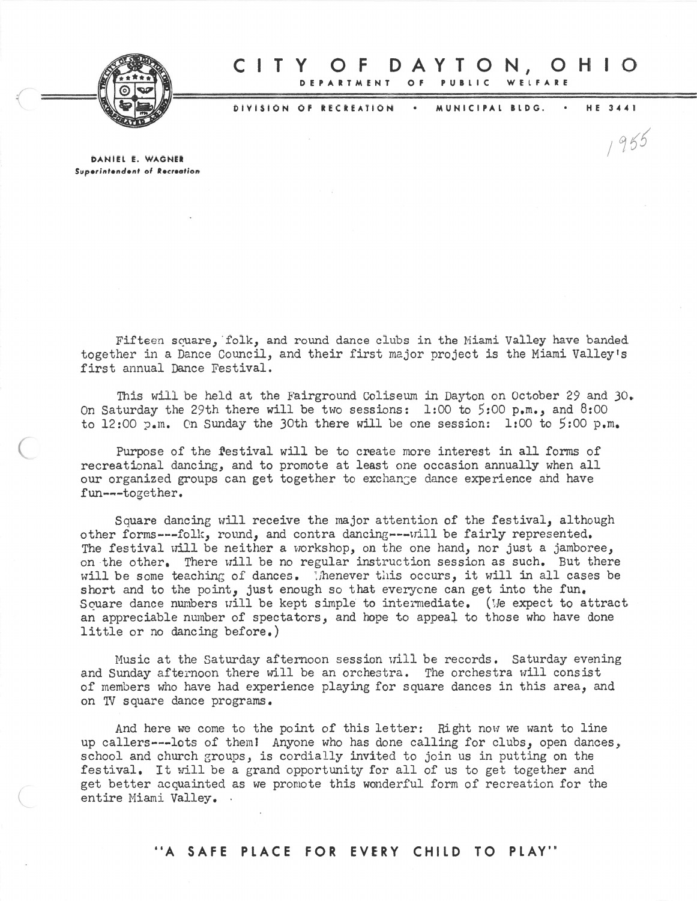

(

## **RTMENT** o **DAYTON,OH** PUBLIC WELFARE CIT Y o F

DIVISION OF RECREATION MUNICIPAL BLDG. . HE 3441

 $1955$ 

DANIEL E. WAGNER Superintendent of Recreation

Fifteen square, folk, and round dance clubs in the Miami Valley have banded together in <sup>a</sup> Dance Council, and their first major project is the Miami Valley's first annual Dance Festival.

This will be held at the Fairground Coliseum in Dayton on October 29 and 30. On Saturday the 29th there will be two sessions: 1:00 to 5:00 p.m., and 8:00 to  $12:00$   $\frac{1}{2}$ . On Sunday the 30th there will be one session: 1:00 to  $5:00$  p.m.

Purpose of the festival will be to create more interest in all forms of recreational dancing, and to promote at least one occasion annually when all our organized groups can get together to exchange dance experience and have fun---together.

Square dancing will receive the major attention of the festival, although other forms---folk, round, and contra dancing---will be fairly represented. The festival will be neither a workshop, on the one hand, nor just a jamboree, on the other. There will be no regular instruction session as such. But there will be some teaching of dances. Thenever this occurs, it will in all cases be short and to the point, just enough so that everyone can get into the fun. Souare dance numbers will be kept simple to intermediate. (We expect to attract an appreciable number of spectators, and hope to appeal to those who have done little or no dancing before.)

Music at the Saturday afternoon session will be records. Saturday evening and Sunday afternoon there will be an orchestra. The orchestra will consist of members who have had experience playing for square dances in this area, and on TV square dance programs.

And here we come to the point of this letter: Right now we want to line up callers---lots of them! Anyone who has done calling for clubs, open dances, school and church groups, is cordially invited to join us in putting on the festival. It will be a grand opportunity for all of us to get together and ge<sup>t</sup> better acquainted as we promote this wonderful form of recreation for the entire Niami Valley. '

"A SAFE PLACE FOR EVERY CHILD TO PLAY"